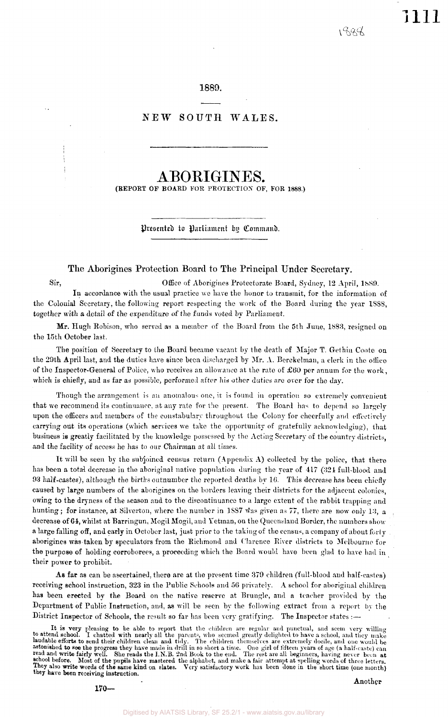1111

## 1889.

## NEW SOUTH WALES.

## ABORIGINES.

(REPORT OP BOARD FOR PROTECTION OF, FOR 1888.)

Presented to Parliament by Command.

## The Aborigines Protection Board to The Principal Under Secretary.

Sir, Office of Aborigines Protectorate Board, Sydney, 12 April, 1889. In accordance with the usual practice we have the honor to transmit, for the information of the Colonial Secretary, the following report respecting the work of the Board during the year 1SS8, together with a detail of the expenditure of the funds voted by Parliament.

Mr. Hugh Robison, who served as a member of the Board from the 5th June, 1883, resigned on the 15th October last.

The position of Secretary to the Board became vacant by the death of Major T. Gethin Coote on the 29th April last, and the duties have since been discharged by Mr. A. Berckelman, a clerk in the office of the Inspector-General of Police, who receives an allowance at the rate of  $£60$  per annum for the work, which is chiefly, and as far as possible, performed after his other duties are over for the day.

Though the arrangement is an anomalous one, it is found in operation so extremely convenient that we recommend its continuance, at any rate for the present. The Board has to depend so largely upon the officers and members of the constabulary throughout the Colony for cheerfully and effectively carrying out its operations (which services we take the opportunity of gratefully acknowledging), that business is greatly facilitated by the knowledge possessed by the Acting Secretary of the country districts, and the facility of access he has to our Chairman at all times.

It will be seen by the subjoined census return (Appendix  $\Lambda$ ) collected by the police, that there has been a total decrease in the aboriginal native population during the year of 417 (324 full-blood and 93 half-castes), although the births outnumber the reported deaths by 10. This decrease has been chiefly caused by large numbers of the aborigines on the borders leaving their districts for the adjacent colonies, owing to the dryness of the season and to the discontinuance to a largo extent of the rabbit trapping and hunting; for instance, at Silverton, where the number in 1887 was given as 77, there are now only 13, a decrease of 64, whilst at Barringun, Mogil Mogil, and Yetman, on the Queensland Border, the numbers show a large falling off, and early in October last, just prior to the taking of the census, a company of about forty aborigines was taken by speculators from the Richmond and Clarence River districts to Melbourne for the purpose of holding corroborees, a proceeding which the Board would have been glad to have had in their power to prohibit.

As **far** as can be ascertained, there are at the present time 379 children (full-blood and half-castes) receiving school instruction, 323 in the Public Schools and 56 privately. A school for aboriginal children has been erected by the Board on the native reserve at Brungle, and a teacher provided by the Department of Public Instruction, and, as will be seen by the following extract from a report by the District Inspector of Schools, the result so far has been very gratifying. The Inspector states :—

It is very pleasing to be able to report that the children are regular and punctual, and seem very willing<br>to attend school. I chatted with nearly all the parents, who seemed greatly delighted to have a school, and they ma they have been receiving instruction.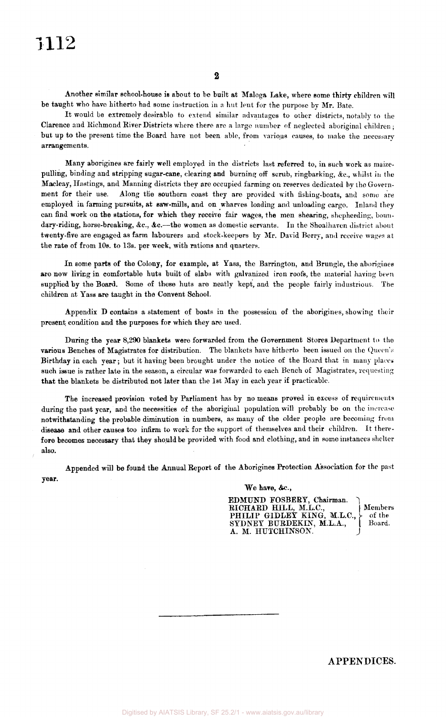Another similar school-house is about to bo built at Maloga Lake, where some thirty children will be taught who have hitherto had some instruction in a hut lent for the purpose by Mr. Bate.

It would be extremely desirable to extend similar advantages to other districts, notably to the Clarence and Richmond River Districts where there are a large number of neglected aboriginal children ; but up to the present time the Board have not been able, from various causes, to make the necessary arrangements.

Many aborigines are fairly well employed in the districts last referred to, in such work as maizepulling, binding and stripping sugar-cane, clearing and burning off scrub, ringbarking, &c, whilst in the Macleay, Hastings, and Manning districts they are occupied farming on reserves dedicated by the Government for their use. Along the southern coast they are provided with fishing-boats, and some are employed in farming pursuits, at saw-mills, and on wharves loading and unloading cargo. Inland they can find work on the stations, for which they receive fair wages, the men shearing, shepherding, boundary-riding, horse-breaking, &c., &c.--the women as domestic servants. In the Shoalhaven district about twenty-five are engaged as farm labourers and stock-keepers by Mr. David Berry, and receive wages at the rate of from 10s. to 13s. per week, with rations and quarters.

In some parts of the Colony, for example, at Yass, the Barrington, and Brungle, the aborigines are now living in comfortable huts built of slabs with galvanized iron roofs, the material having been supplied by the Board. Some of these huts are neatly kept, and the people fairly industrious. The children at Yass are taught in the Convent School.

Appendix D contains a statement of boats in the possession of the aborigines, showing their present condition and the purposes for which they are used.

During the year 8,290 blankets were forwarded from the Government Stores Department to the various Benches of Magistrates for distribution. The blankets have hitherto been issued on the Queen's Birthday in each year; but it having been brought under the notice of the Board that in many places such issue is rather late in the season, a circular was forwarded to each Bench of Magistrates, requesting that the blankets be distributed not later than the 1st May in each year if practicable.

The increased provision voted by Parliament has by no means proved in excess of requirements during the past year, and the necessities of the aboriginal population will probably be on the increase notwithstanding the probable diminution in numbers, as many of the older people are becoming from disease and other causes too infirm to work for the support of themselves and their children. It therefore becomes necessary that they should be provided with food and clothing, and in some instances shelter also.

Appended will be found the Annual Report of the Aborigines Protection Association for the past year.

### We have, &c.,

EDMUND FOSBERY, Chairman. RICHARD HILL, M.L.C., Members PHILIP GIDLEY KING, M.L.C.,  $\}$  of the SYDNEY BURDEKIN, M.L.A., | Board. A. M. HUTCHINSON.

APPENDICES.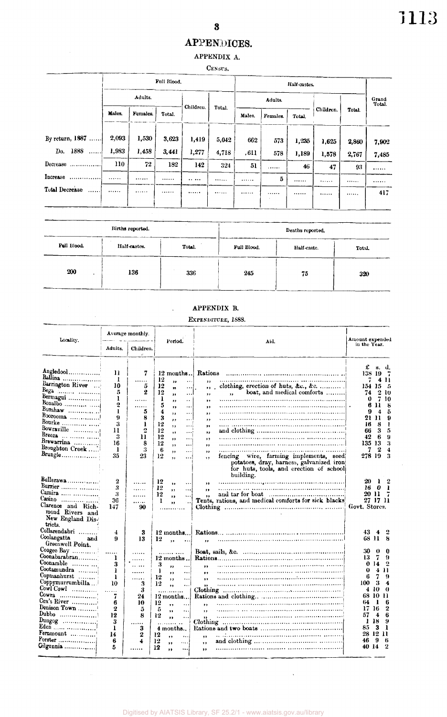## APPENDICES. APPENDIX A.

## CENSUS.

|                            | Full Blood. |          |        |           |        |         | Half-castes.       |       |           |                 |       |  |
|----------------------------|-------------|----------|--------|-----------|--------|---------|--------------------|-------|-----------|-----------------|-------|--|
|                            | Adults.     |          |        |           |        | Adults. |                    |       |           | Grand<br>Total. |       |  |
|                            | Males.      | Females. | Total. | Children. | Total. | Males.  | Females.<br>Total. |       | Children. | Total.          |       |  |
| By return, $1887$          | 2.093       | 1,530    | 3.623  | 1,419     | 5,042  | 662     | 573                | 1,235 | 1,625     | 2,860           | 7,902 |  |
| Do. 1888                   | 1.983       | 1,458    | 3,441  | 1,277     | 4,718  | .611    | 578                | 1,189 | 1,578     | 2,767           | 7,485 |  |
| Decrease                   | 110         | 72       | 182    | 142       | 324    | 51      | 1.1.1.1.1          | 46    | 47        | 93              |       |  |
| Increase<br>.              |             |          |        |           |        |         | 5                  |       | .         |                 | .     |  |
| <b>Total Decrease</b><br>. |             |          |        |           |        |         | <br>$\mathbf{r}$   |       |           |                 | 417   |  |
|                            |             |          |        |           |        |         |                    |       |           |                 |       |  |

|             | Births reported. |        |            | Deaths reported. |        |  |  |
|-------------|------------------|--------|------------|------------------|--------|--|--|
| Full Blood. | Half-castes.     | Total. | Full Blood | Half-caste.      | Total. |  |  |
| 200         | 136              | 336    | 245        | 75               | 320    |  |  |

| APPENDIX B. |  |
|-------------|--|
|-------------|--|

 $\ddot{\phantom{a}}$ 

## EXPENDITURE, 1888.

| Locality.                                                                                                                                                                                            |                                                                                                             | Average monthly.                                                                            |                                                                                                                                                                                                                                                                                                             |                                                                                                                                                                                                                                                                                                              | Amount expended                                                                                                                                                                                                                                                         |
|------------------------------------------------------------------------------------------------------------------------------------------------------------------------------------------------------|-------------------------------------------------------------------------------------------------------------|---------------------------------------------------------------------------------------------|-------------------------------------------------------------------------------------------------------------------------------------------------------------------------------------------------------------------------------------------------------------------------------------------------------------|--------------------------------------------------------------------------------------------------------------------------------------------------------------------------------------------------------------------------------------------------------------------------------------------------------------|-------------------------------------------------------------------------------------------------------------------------------------------------------------------------------------------------------------------------------------------------------------------------|
|                                                                                                                                                                                                      | Adults.                                                                                                     | Children.<br>$\omega^*$                                                                     | Period.                                                                                                                                                                                                                                                                                                     | Aid.                                                                                                                                                                                                                                                                                                         | in the Year.                                                                                                                                                                                                                                                            |
| Angledool<br>Ballina<br>Barrington River<br>Bega $\overline{}$<br>Bermagui<br>$\text{Bonshaw}$<br>Boorooma<br>Bourke<br>Bowraville<br>Breeza<br>Brewarrina<br>Broughton Creek<br>Brungle             | 11<br>$\mathbf{I}$<br>10<br>5<br>ı<br>2<br>ı<br>9<br>3<br>11<br>3<br>16<br>1<br>35                          | 7<br><br>5<br>2<br>.<br>5<br>8<br>1<br>2<br>11<br>8<br>3<br>23                              | $12$ months<br>12<br>,,<br><br>12<br>y,<br>12<br>,,<br><br>ı<br>,,<br>$\cdot$ .<br>5<br>,,<br>$\ddotsc$<br>4<br>$\cdots$<br>$\cdots$<br>3<br>,<br>$\cdots$<br>12<br>,,<br>$\ddotsc$<br>12<br>,,<br>$\cdots$<br>12<br>$\bullet$<br>$\cdots$<br>12<br>, ,<br>$\cdots$<br>6<br>.<br>,,<br>12<br>$\cdots$<br>,, | Rations<br>clothing, erection of huts, &c., &c.<br>,,<br>boat, and medical comforts<br>$, \,$<br>$, \,$<br>$, \,$<br>$\bullet$<br>, ,<br>,,<br>,,<br>, ,<br>,,<br>,,<br>fencing wire, farming implements, seed<br>, ,<br>potatoes, dray, harness, galvanized iron<br>for huts, tools, and erection of school | £<br>d.<br>В.<br>138.<br>-19<br>4<br>п<br>154 15<br>5<br>2<br>74<br>10<br>7<br>0<br>10<br>6<br>11<br>8<br>9<br>5<br>4<br>21 11<br>9<br>16<br>8<br>ı<br>5<br>66<br>3<br>42<br>6<br>9<br>135 13<br>3<br>2<br>4<br>7<br>278 19<br>3                                        |
| Bullerawa<br>Burrier<br>Camira<br>$\text{Casino}$<br>Clarence and Rich-<br>mond Rivers and<br>New England Dis-                                                                                       | 2<br>3<br>3<br>36<br>147                                                                                    | .<br>.<br>.<br>.<br>90                                                                      | 12<br>٠.<br>٠.<br>12<br>$\cdot$<br>$\ddotsc$<br>12<br>$\bullet$<br>ı<br>,,                                                                                                                                                                                                                                  | building.<br>$\bullet$<br>$\bullet$<br>,,<br>Tents, rations, and medical comforts for sick blacks                                                                                                                                                                                                            | 20<br>ı<br>2<br>16<br>- 0<br>R<br>20 H<br>27 17 11<br>Govt. Stores.                                                                                                                                                                                                     |
| tricts.<br>Collarendabri<br>Coolangatta<br>and<br>Greenwell Point.                                                                                                                                   | 4<br>9                                                                                                      | 3<br>13                                                                                     | $12$ months<br>12<br>$\ddot{\phantom{a}}$                                                                                                                                                                                                                                                                   |                                                                                                                                                                                                                                                                                                              | 43.<br>-4<br>68 H<br>8                                                                                                                                                                                                                                                  |
| Coonabarabran<br>Coonamble<br>Cootamundra<br>Copmanhurst<br>Coppymurrumbilla<br>Cowl Cowl<br>Cowra<br>Cox's River<br>Denison Town<br>Dubbo<br>$Dungog$<br>Fernmount<br>$\text{Forster}$<br>Gilgunnia | $\ddotsc$<br>ı<br>3<br>ı<br>ı<br>10<br>$\sim$<br>7<br>6<br>$\boldsymbol{2}$<br>12<br>3<br>ı<br>14<br>6<br>5 | .<br>.<br>.<br>.<br>3<br>3<br>24<br>10<br>5<br>8<br>$\ddotsc$<br>3<br>$\boldsymbol{2}$<br>4 | 12 months<br>3<br>,,<br>1<br>$\cdot$<br>$\ddotsc$<br>12<br>$\ddotsc$<br>$, \,$<br>12<br>$\ddotsc$<br>$\bullet$<br>12 months<br>12<br>,,<br>5<br>,,<br>.<br>12<br><br>,,<br>4 months<br>12<br>,,<br><br>12<br>$\cdots$<br>$\bullet$<br>12<br>,<br>                                                           | $\ddot{\phantom{a}}$<br>.,<br>,,<br>Clothing<br>$\cdot$<br>$, \,$<br>Clothing<br>,,<br>, ,<br>,,                                                                                                                                                                                                             | 30<br>0<br>0<br>7<br>9<br>13<br>0 14<br>2<br>o<br>4<br>п<br>7<br>6<br>9<br>100<br>3<br>4<br>-10<br>4<br>$_{0}$<br>68 10<br>n<br>1<br>6<br>64<br>16<br>2<br>17<br>6<br>57<br>4<br>Ł<br>-18<br>9<br>3<br>1<br>85<br>28 12<br>n<br>9<br>46<br>6<br>$\overline{2}$<br>40 14 |

 $\bar{\beta}$ 

 $\mathcal{A}^{\mathcal{A}}$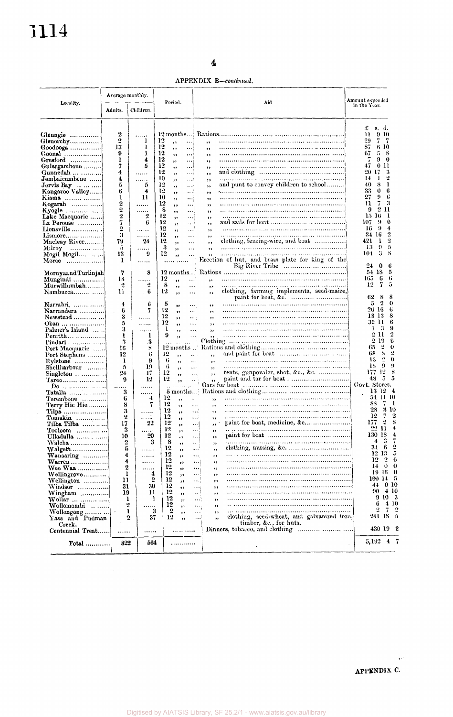APPENDIX B-continued.

|                                                     | Average monthly. |                | Period.  |                      |                      |                      | Aid                                              | Amount expended                                  |
|-----------------------------------------------------|------------------|----------------|----------|----------------------|----------------------|----------------------|--------------------------------------------------|--------------------------------------------------|
| Locality.                                           | Adults.          | Children.      |          |                      |                      |                      |                                                  | in the Year.                                     |
|                                                     |                  |                |          |                      |                      |                      |                                                  | £<br>s. d.                                       |
| Glenngie                                            | 2                |                |          | 12 months            |                      |                      |                                                  | 11<br>910                                        |
| Glenorchy                                           | 2                | 1              | 12       | ,,                   |                      | š\$                  |                                                  | 29<br>7<br>7                                     |
| Goodooga                                            | 13               | 1              | 12       | ,,                   | $\cdots$             | ,,                   |                                                  | 6 10<br>87                                       |
| $G$ oonal                                           | 9                | ı              | 12       | ,,                   | ڊن                   | ,,                   |                                                  | 5<br>8<br>67                                     |
| Gresford                                            | 1<br>7           | 4<br>5         | 12<br>12 | ,,                   | $\cdots$             | ,,                   |                                                  | 9<br>0<br>0 11<br>47                             |
| Gulargambone<br>Gunnedah                            | 4                |                | 12       | ,,                   | $\cdots$             | ,,                   |                                                  | 20 17<br>3                                       |
| Jembaicumbene                                       | 4                | .<br>.         | 10       | , ,<br>,,            | $\cdots$ i<br>       | ,,<br>,,             |                                                  | 2<br>1<br>14                                     |
| Jervis Bay                                          | 5                | 5              | 12       | ,,                   | $\cdots$             | ,,                   | and punt to convey children to school            | 1<br>40<br>8                                     |
| Kangaroo Valley                                     | 6                | 4              | 12       | ,,                   | .                    | ,,                   |                                                  | 33<br>0<br>6                                     |
| Kiama                                               | ı                | 11             | 10       | $, \,$               |                      | ,,                   |                                                  | 27<br>9<br>6                                     |
| Kogarah                                             | 2                | .              | 12       | $, \,$               |                      | ,,                   |                                                  | 7<br>3<br>11                                     |
| Kyogle                                              | 2                | $\overline{2}$ | 8        | $\bullet$            |                      | ,,                   |                                                  | $\overline{\mathbf{c}}$<br>9<br>11<br>15-16<br>1 |
| Lake Macquarie                                      | 2<br>7           | 6              | 12<br>12 | $\mathbf{y}$         |                      | ,,                   |                                                  | 9<br>0<br>107                                    |
| La Perouse<br>$Lionsville$                          | 2                | .              | 12       | ,<br>, ,             | ا ، ، ،<br>'         | ,,<br>,,             |                                                  | 9<br>4<br>16                                     |
| $L$ is more                                         | 3                |                | 12       | $\bullet \bullet$    |                      | $, \,$               |                                                  | 2<br>34 16                                       |
| Macleay River                                       | 79               | 24             | $12 \,$  | ,,                   | $\cdots$             | ,,                   | clothing, fencing-wire, and boat                 | 2<br>421<br>1                                    |
| Milroy                                              | 5                |                | 3        | ,,                   | $\cdots$             | ,,                   |                                                  | 9<br>5<br>13                                     |
| Mogil Mogil                                         | 13               | 9              | 12       | ,,                   | $\cdots$             |                      |                                                  | 3<br>s<br>104                                    |
| Moree                                               | 1                | .              |          |                      |                      |                      | Erection of hut, and brass plate for king of the | 24<br>6<br>0                                     |
|                                                     | 7                | 8              |          | 12 months            |                      |                      |                                                  | 54 IS<br>5                                       |
| Moruyaand Turlinjah<br>Mungindi                     | 18               | $\ddotsc$      | 12       | š3                   |                      | $\ddot{\phantom{a}}$ |                                                  | 6<br>6<br>165                                    |
| Murwillumbah                                        | 2                | 2              | 8        | ,                    | $\cdots$             | ,,                   |                                                  | 7<br>12                                          |
|                                                     | 11               | . 6            | 12       | $, \,$               | $\cdots$             | $\rightarrow$        | clothing, farming implements, seed-maize,        | 62<br>8                                          |
| Narrabri,                                           | 4                | 6              | 5        | ,,                   | $\cdots$             | , ,                  |                                                  | 2<br>5                                           |
| Narrandera                                          | 6                | 7              | 12       | ,,                   | $\ddotsc$            | , ,                  |                                                  | 26 16                                            |
|                                                     | 3                | .              | 12       | $, \,$               | $\cdots$             | ,,                   |                                                  | 18 13                                            |
| Oban                                                | 5                | .              | 12<br>1  | $\ddot{\phantom{1}}$ | $\cdots$             | , ,                  |                                                  | 32 H<br>- 3<br>1                                 |
| Palmer's Island                                     | 3<br>1           | .<br>1         | 9        | ,                    | $\ldots$             | ,,                   |                                                  | 2 11                                             |
| $\text{Penrith} \dots \dots \dots \dots$<br>Pindari | 3                | 3              |          | ,,                   |                      |                      |                                                  | 2 19                                             |
| Port Macquarie                                      | 16               | 8              |          |                      |                      |                      |                                                  | 2<br>65                                          |
| Port Stephens                                       | 12               | 6              | 12       | ,,                   | $\ddot{\phantom{1}}$ | ,,                   |                                                  | S<br>68                                          |
| Rylstone                                            | 1                | 9              | 6        | ,,                   | .                    | $, \,$               |                                                  | $\mathbf{r}$<br>13<br>9                          |
| Shellharbour                                        | 5                | 19             | 6<br>12  | ,,                   | $\ddotsc$            | $, \,$               | tents, gunpowder, shot, &c., &c.                 | 18<br>177-12                                     |
| Singleton                                           | 24<br>9          | 17<br>12       | 12       | ,,                   | $\cdots$             | ,,<br>$, \,$         |                                                  | 5<br>48                                          |
| $\mathbf{p_0}$                                      |                  | .              |          | ,,                   |                      |                      |                                                  | Govt. Stores.                                    |
|                                                     | 3                | .              |          |                      |                      |                      |                                                  | 13 12 4                                          |
| $T$ erembone $\ldots$                               | 6                | 4              | 12       | ,,                   | ٠.                   | ,                    |                                                  | 54 11 10                                         |
| Terry Hie Hie                                       | 8                | 7              | 12       | ,,                   | $\cdots$             | $, \,$               |                                                  | SS                                               |
| Tilpa                                               | 3                | .              | 12       | ,,                   | ;                    | ,,                   |                                                  | 28<br>3<br>12<br>7                               |
| $Tomakin$                                           | $\bf{2}$         | <br>22         | 12<br>12 | $\bullet$            | $\cdots$             | ,,                   | paint for boat, medicine, &c                     | 177<br>$\boldsymbol{2}$                          |
| Tilba Tilba<br>$Tooloom$                            | 17<br>3          | .              | 12       | $\pmb{\cdot}$<br>,,  | . !<br>$\ldots$      | ,,<br>,,             |                                                  | 22 H                                             |
| Ulladulla                                           | 10               | 20             | 12       | ,,                   |                      | ,,                   |                                                  | 130 18                                           |
| Walcha                                              | $\boldsymbol{2}$ | 3              | 8        | ,,                   | $\ddotsc$            | ,,                   |                                                  | 4<br>3                                           |
| $W$ algett                                          | 5                | .              | 12       | ,,                   | $\ldots$             | ,,                   |                                                  | 34 6                                             |
| Wanaaring                                           | 4                |                | 12       |                      |                      |                      |                                                  | 12 13<br>12<br>$\overline{2}$                    |
| $Warren$                                            | 4<br>2           |                | 12<br>12 | ,,                   |                      | ,,                   |                                                  | 14 0 0                                           |
| Wee Waa<br>Wellingrove                              | 1                | <br>4          | 12       | ,,                   |                      | ,,<br><br>,,         |                                                  | 19160                                            |
| Wellington                                          | 11               | 2              | 12       | ,,<br>,,             |                      | ;<br>,,              |                                                  | 100145                                           |
| Windsor                                             | 31               | 30             | 12       | $\bullet$            |                      | ,,                   |                                                  | 44 0 10                                          |
| Wingham                                             | 19               | 11             | 12       | ,,                   | $\ddot{\phantom{a}}$ | ,,                   |                                                  | $90\quad 4\; 10$                                 |
| $W$ ollar                                           | ı                | 1              | 12       | ,,                   |                      | ,<br>$\pmb{\cdot}$   |                                                  | 9103                                             |
| Wollomombi                                          | $\overline{2}$   |                | 12       | ,,                   |                      | ,,                   |                                                  | 4 10<br>6<br>2<br>7                              |
| Wollongong                                          | ι<br>2           | 3              | 12       | 2<br>,,              |                      | $\ddotsc$<br>,,      | clothing, seed-wheat, and galvanized iron,       | 241 18 5                                         |
| Yass and Pudman<br>Creek.                           |                  | 37             |          | ,,                   |                      | <br>,,               | timber, &c., for huts.                           | 430 19 2                                         |
| Centennial Treat                                    | .                |                |          | .                    |                      |                      |                                                  | 5,192 4 7                                        |
| $Total$                                             | 822              | 564            |          |                      |                      |                      |                                                  |                                                  |
|                                                     |                  |                |          |                      |                      |                      |                                                  |                                                  |

 $\sim$   $\sim$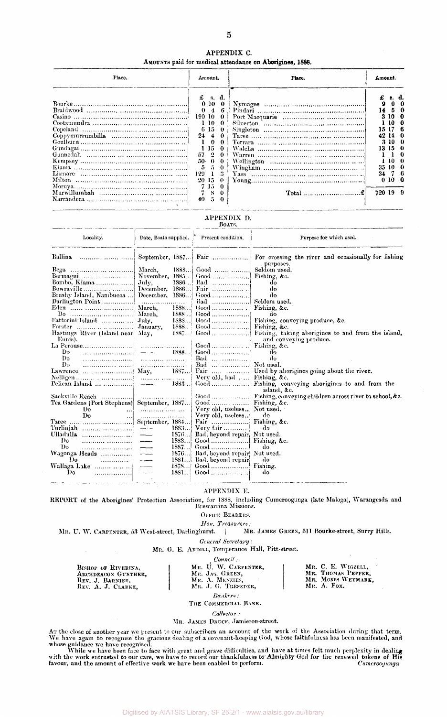| APPENDIX C.                                              |  |
|----------------------------------------------------------|--|
| AMOUNTS paid for medical attendance on Aborigines, 1888. |  |

| Place.  | Amount.                                                                                                                                                |                                                                        | Place. |                         | Amount.                                               |  |  |
|---------|--------------------------------------------------------------------------------------------------------------------------------------------------------|------------------------------------------------------------------------|--------|-------------------------|-------------------------------------------------------|--|--|
| Lismore | $f$ s.d.<br>010<br>190<br>-10<br>- 10<br>6 15<br>24<br>$\ddot{ }$<br>$\Omega$<br>-15<br>$\overline{2}$<br>57<br>50.<br>0<br>129<br>20 15<br>7150<br>40 | $\mathbf{0}$ .<br>$\Omega$<br>$\mathbf{0}$<br>$\mathbf{0}$<br>$\Omega$ |        | 42 14<br>34 7<br>720 19 | 3 10 1<br>15 17 6<br>310.<br>13 15 0<br>35 10<br>0100 |  |  |

## APPENDIX D.<br>Boats.

| Locality.                                                                                          | Date, Boats supplied. Present condition. |                                    | Purpose for which used.                                                                    |  |  |  |  |
|----------------------------------------------------------------------------------------------------|------------------------------------------|------------------------------------|--------------------------------------------------------------------------------------------|--|--|--|--|
|                                                                                                    |                                          |                                    | September, 1887   Fair    For crossing the river and occasionally for fishing<br>purposes. |  |  |  |  |
|                                                                                                    | 188S                                     |                                    |                                                                                            |  |  |  |  |
| Bermagui  November, 1885                                                                           |                                          |                                    |                                                                                            |  |  |  |  |
|                                                                                                    | $1886$                                   | $Bad$ !                            | do                                                                                         |  |  |  |  |
| Bowraville December, 1886                                                                          |                                          |                                    | do                                                                                         |  |  |  |  |
| Brushy Island, Nambucca  December, 1886                                                            |                                          |                                    | do                                                                                         |  |  |  |  |
|                                                                                                    |                                          | Bad  Seldom used.                  |                                                                                            |  |  |  |  |
|                                                                                                    |                                          |                                    |                                                                                            |  |  |  |  |
|                                                                                                    |                                          |                                    | do                                                                                         |  |  |  |  |
|                                                                                                    | 1888                                     |                                    | Good  Fishing, conveying produce, &c.                                                      |  |  |  |  |
|                                                                                                    |                                          | 1888 Good   Fishing, &c.           |                                                                                            |  |  |  |  |
| Hastings River (Island near May,<br>Ennis).                                                        |                                          |                                    | 1887. Good  Fishing, taking aborigines to and from the island,<br>and conveying produce.   |  |  |  |  |
|                                                                                                    |                                          | Good    Fishing, &c.               |                                                                                            |  |  |  |  |
| Do.                                                                                                |                                          |                                    | do                                                                                         |  |  |  |  |
| $\mathbf{D}\mathbf{o}$                                                                             |                                          |                                    | do                                                                                         |  |  |  |  |
| $\mathbf{p}_0$                                                                                     |                                          | Bad  Not used.                     |                                                                                            |  |  |  |  |
| Lawrence $\ldots$ $\ldots$ $\ldots$ $\ldots$ $\ldots$ $\ldots$ $\ldots$ $\ldots$ $\ldots$ $\ldots$ |                                          |                                    | Fair   Used by aborigines going about the river.                                           |  |  |  |  |
|                                                                                                    |                                          | Very old, bad  Fishing, &c.        |                                                                                            |  |  |  |  |
|                                                                                                    |                                          |                                    | island, &c.                                                                                |  |  |  |  |
|                                                                                                    |                                          |                                    | Good  Fishing, conveying children across river to school, &c.                              |  |  |  |  |
| Tea Gardens (Port Stephens)  September, 1887                                                       |                                          | Good   Fishing, &c.                |                                                                                            |  |  |  |  |
| Do                                                                                                 | <u>and the second second</u>             | Very old, useless Not used.        |                                                                                            |  |  |  |  |
| Do                                                                                                 |                                          | Very old, useless                  | do                                                                                         |  |  |  |  |
| Taree   September, 1884                                                                            |                                          |                                    |                                                                                            |  |  |  |  |
|                                                                                                    | 1883                                     | Very fair                          | dэ                                                                                         |  |  |  |  |
|                                                                                                    | 1876.<br>$\hspace{0.05cm}$               | Bad, beyond repair, Not used.      |                                                                                            |  |  |  |  |
| Do.                                                                                                | 1883                                     |                                    |                                                                                            |  |  |  |  |
| كك المستنسبين بينبي<br>Do.                                                                         | 1887                                     |                                    | do                                                                                         |  |  |  |  |
|                                                                                                    |                                          | 1876 Bad, beyond repair! Not used. |                                                                                            |  |  |  |  |
| Do.                                                                                                | 1881                                     | Bad, beyond repair                 | do                                                                                         |  |  |  |  |
| Wallaga Lake    -----                                                                              |                                          |                                    |                                                                                            |  |  |  |  |
| Do<br>. 1                                                                                          | $\overline{\phantom{a}}$                 | $1881$ Good                        | do                                                                                         |  |  |  |  |

### APPENDIX E.

REPORT of the Aborigines' Protection Association, for 1883, including Cumeroogunga (late Maloga), Warangesda and Brewarrina Missions.

OFFICE BEARERS.

*Hon. Treasurers:*  MR. U. W. CARPENTER, 53 West-street, Darlinghurst.

*General Secretary:* 

## MR. G. E. ARDILL, Temperance Hall, Pitt-street.

*Council :* 

| BISHOP OF RIVERINA,<br>ARCHDEACON GUNTHER.<br>REV. J. BARNIER,<br>REV. A. J. CLARKE. | <i><b>Counce</b></i> .<br>Mr. U. W. CARPENTER.<br>Mr. JAS. GREEN,<br>MR. A. MENZIES.<br>MR. J. G. TRESEDER. | Mr. C. E. WIGZELL.<br>MR. THOMAS PEPPER.<br>MR. MOSES WEYMARK.<br>$M_E$ . A. Fox. |
|--------------------------------------------------------------------------------------|-------------------------------------------------------------------------------------------------------------|-----------------------------------------------------------------------------------|
|                                                                                      | Bankers :                                                                                                   |                                                                                   |

THE COMMERCIAL BANK.

*Collector :* 

#### MR. JAMES DRUCE, Jamieson-street.

At the close of another year we present to our subscribers an account of the work of the Association during that term.<br>We have again to recognise the gracious dealing of a covenant-keeping God, whose faithfulness has been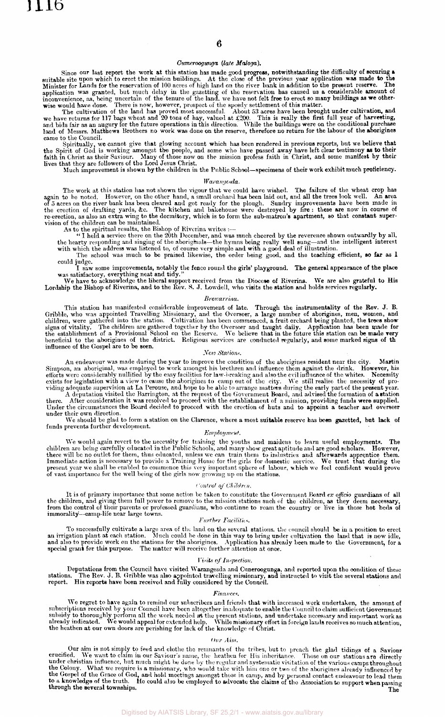#### *Cumeroogunga, (late Maloga).*

Since our last report the work at this station has made good progress, notwithstanding the difficulty of securing a<br>suitable site upon which to erect the mission buildings. At the close of the previous year application was

application was granted, but much delay in the gazetting of the reservation has caused us a considerable amount of inconvenience, as, being uncertain of the tenure of the land, we have not felt free to erect so many build came to the Council.

Spiritually, we cannot give that glowing account which has been rendered in previous reports, but we believe that<br>the Spirit of God is working amongst the people, and some who have passed away have left clear testimony as

## *Warangesda.*

The work at this station has not shown the vigour that we could have wished. The failure of the wheat crop has<br>again to be noted. However, on the other hand, a small orchard has been laid out, and all the trees look well.

As to the spiritual results, the Bishop of Riverina writes :—<br>"I held a service there on the 20th December, and was much cheered by the reverence shown outwardly by all,<br>the hearty responding and singing of the aborightals

could judge.

I saw some improvements, notably the fence round the girls' playground. The general appearance of the place<br>was satisfactory, everything neat and tidy."<br>We have to acknowledge the liberal support received from the Diocese

#### *Brewarrina.*

This station has manifested considerable improvement of late. Through the instrumentality of the Rev. J. B.<br>Gribble, who was appointed Travelling Missionary, and the Overseer, a large number of aborigines, men, women, and<br>

#### *New Stations.*

An endeavour was made during the year to improve the condition of the aborigines resident near the city. Martin<br>Simpson, an aboriginal, was employed to work amongst his brethren and influence them against the drink. Howeve

A deputation visited the Barrington, at the request of the Government Board, and advised the formation of a station<br>there. After consideration it was resolved to proceed with the establishment of a mission, providing funds under their own direction.

We should be glad to form a station on the Clarence, where a most suitable reserve has been gazetted, but lack of funds prevents further development.

#### *Employment.*

We would again revert to the necessity for training the youths and maidens to learn useful employments. The children are being carefully educated in the Public Schools, and many show great aptitude and are good scholars. H

#### *Control of Children.*

It is of primary importance that some action be taken to constitute the Government Board ex officio guardians of all<br>the children, and giving them full power to remove to the mission stations such of the children, as they

#### *Further Facilities.*

To successfully cultivate a large area of the land on the several stations, the council should be in a position to erect<br>an irrigation plant at each station. Much could be done in this way to bring under cultivation the la

#### *Visits of Inspection.*

Deputations from the Council have visited Warangesda and Cuneroogunga, and reported upon the condition of these<br>stations. The Rev. J. B. Gribble was also appointed travelling missionary, and instructed to visit the several

#### *Finance\*.*

We regret to have again to remind our subscribers and friends that with increased work undertaken, the amount of subscriptions received by your Council have been altogether inadequate to enable the Council to claim sufficient Government<br>subsidy to thoroughly perform all the work needed at the present stations, and undertake necessary

#### *Our Aim.*

Our aim is not simply to feed and clothe the remnants of the tribes, but to preach the glad tidings of a Saviour<br>crucified. We want to claim in our Saviour's name, the heathen for His inheritance. Those on our stations are

Digitised by AIATSIS Library, SF 25.2/1 - www.aiatsis.gov.au/library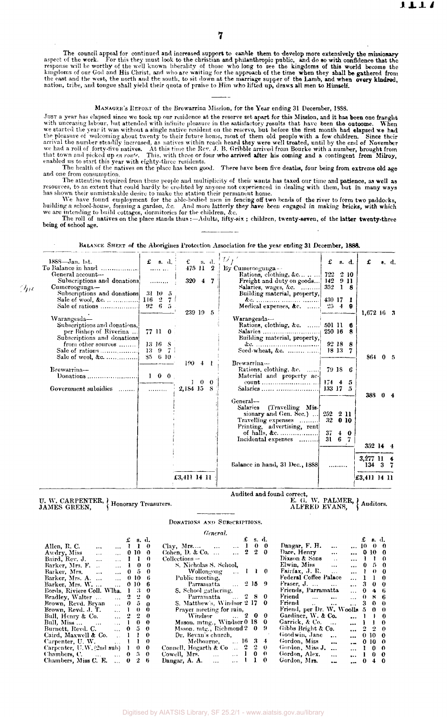The council appeal for continued and increased support to eanble them to develop more extensively the missionary<br>aspect of the work. For this they must look to the christian and philanthropic public, and do so with confide

### MANAGER'S REPORT of the Brewarrina Mission, for the Year ending 31 December, 1SS8.

JUST a year has elapsed since we took up our residence at the reserve set apart for this Mission, and it has been one fraught with unceasing labour, but attended with infinite pleasure in the satisfactory results that have been the ontoome. When<br>we started the year it was without a single native resident on the reserve, but before the first month

The health of the natives on the place has been good. There have been five deaths, four being from extreme old age and one from consumption.

The attention required from these people and multiplicity of their wants has taxed our time and **patience**, as well as<br>resources, to an extent that could hardly be credited by anyone not experienced in dealing with them,

being of school age.

| $1888 - Jan.$ 1st.<br>To Balance in hand<br>General account-<br>Subscriptions and donations<br>$C$ umeroogunga— | $f$ s.d.<br>$\cdots$                           | $\mathbf{f}$ s. d.<br>$475$ 11 2<br>320 4 7 |     |    | $ U_f\rangle$<br>By Cumeroogunga $-\cdot$<br>Rations, clothing, $\&c$<br>Freight and duty on goods<br>Salaries, wages, &c. | 722 2 10<br>142 9 11<br>352    | $f$ s.d.<br>18       | £                       | s. d.          |
|-----------------------------------------------------------------------------------------------------------------|------------------------------------------------|---------------------------------------------|-----|----|----------------------------------------------------------------------------------------------------------------------------|--------------------------------|----------------------|-------------------------|----------------|
| Subscriptions and donations 31 10 5<br>Sale of wool, &c.    116 2 7                                             | $92\quad 6\quad 5$                             | 239 19 5                                    |     |    | Building material, property,<br>Medical expenses, &c.                                                                      | 430 17 1                       | $25 \quad 4 \quad 9$ | $1,672,16$ 3            |                |
| Warangesda-<br>Subscriptions and donations,<br>per Bishop of Riverina<br>Subscriptions and donations            | 77 11 0                                        |                                             |     |    | Warangesda-<br>Rations, clothing, &c.  501 11 6<br>Building material, property,                                            | 250 16 8                       |                      |                         |                |
| from other sources<br>Sale of wool, &c.                                                                         | $13 \t16 \tS$<br>$13 \t9 \t7$<br>$85\quad 610$ | $190 + 1$                                   |     |    | Brewarrina-                                                                                                                | 92188<br>18 13 7               |                      | 864 0 5                 |                |
| Brewarrina-<br>Government subsidies                                                                             | $1 \quad 0 \quad 0$<br>.                       | 2,184 15                                    | 100 | 8. | Rations, clothing, &c.<br>Material and property ac-                                                                        | 79 IS 6                        |                      |                         |                |
|                                                                                                                 |                                                |                                             |     |    | General-<br>Salaries (Travelling Mis-<br>sionary and Gen. Sec.)<br>Travelling expenses<br>Printing, advertising, rent      | 252 2 11<br>32                 | 010                  | 388                     | 0 <sub>4</sub> |
|                                                                                                                 |                                                |                                             |     |    | Incidental expenses                                                                                                        | $37 + 0$<br>$31\quad 6\quad 7$ |                      | 352 14 4                |                |
|                                                                                                                 |                                                |                                             |     |    | Balance in hand, 31 Dec., 1888                                                                                             |                                |                      | $3,277$ 11 4<br>134 3 7 |                |
|                                                                                                                 |                                                | £3,411 14 11                                |     |    |                                                                                                                            |                                |                      | £3,411 14 11            |                |

BALANCE SHEET of the Aborigines Protection Association for the year ending 31 December, 1888.

**U. W. CARPENTER, } Honorary Treasurers** 

 $\langle \eta \rangle$ 

# Audited and found correct,<br>E. G. W. PALMER, { Auditors.<br>ALFRED EVANS. { Auditors.

DONATIONS AND SUBSCRIPTIONS.

| General.                                    |  |                     |              |                                                            |                                                        |  |  |  |  |  |
|---------------------------------------------|--|---------------------|--------------|------------------------------------------------------------|--------------------------------------------------------|--|--|--|--|--|
|                                             |  | $\pounds$ s.d.      |              | $\pounds$ s.d.                                             | $\pounds$ s.d.                                         |  |  |  |  |  |
| Allen, R. C. $\ldots$                       |  | 1 1 0               |              | $\ldots$ 1 0 0<br>Clay, Mrs $\ldots$                       | Dangar, F. H.<br>$\ddotsc$<br>$\dots$ 10 0 0           |  |  |  |  |  |
| Awdry, Miss                                 |  | $\ldots$ 0 10 0     |              | $\ldots$ 2 2 0<br>Cohen, D. & Co. $\dots$                  | Dare, Henry<br>$\dots$ 0 10 0<br>$\cdots$              |  |  |  |  |  |
| Baird, Rev. J.                              |  | $\ldots$ 1 1 0      |              | $\text{Collections} \text{--}$                             | Dixson & Sons<br>$\dots$ 1 1 0<br>$\mathbf{a}$         |  |  |  |  |  |
| Barker, Mrs. F.                             |  | $\ldots$ 1 0 0      |              | ections —<br>S. Nicholas S. School,                        | Elwin, Miss<br>$\ldots$ 0 5 0<br>$\cdots$              |  |  |  |  |  |
| Barker, Mrs.<br>$\cdots$                    |  | $\ldots$ 0 5 0      |              | Wollongong . 1 1 0                                         | Fairfax, J. R.<br>$\dots$ 1 0 0<br>$\sim$ .            |  |  |  |  |  |
| Barker, Mrs. A.                             |  | 0 10 6              |              | Public meeting,                                            | Federal Coffee Palace<br>1 1 0                         |  |  |  |  |  |
| Barker, Mrs. W.                             |  | $\therefore$ 0 10 6 |              | Parramatta  2 15 9                                         | Fraser, J.<br>$\ldots$ 3 0 0<br><b>Carried Control</b> |  |  |  |  |  |
| Bords, Riviere Coll. Wlha. 1 3 0            |  |                     |              | <b>S.</b> School gathering,                                | Friends, Parramatta<br>046                             |  |  |  |  |  |
| Bradley, Walter                             |  | $\therefore$ 2 2 0  |              | Parramatta $\ldots$ 2 8 0                                  | Friend<br>0.86                                         |  |  |  |  |  |
| Brown, Revd. Bryan                          |  | 05 в                |              | S. Matthew's, Windsor $2\,17\,0$                           | Friend<br>$\ldots$ 3 0 0                               |  |  |  |  |  |
| Brown, Revd. J. T.                          |  | $\ldots$ 1 0 0      |              | Prayer meeting for rain,                                   | Friend, per Dr. W. Woolls $5 \quad 0 \quad 0$          |  |  |  |  |  |
| Bull, Henry & Co.<br>$\ldots$ 2 2 0         |  |                     |              | $W$ indsor $\ldots$ 2 0 0                                  | Gardiner, W. & Co.<br>$\dots$ 1 1 0                    |  |  |  |  |  |
| Bull, $Miss \dots$ $\ldots$<br>$\ldots$ 1 0 |  |                     | $\mathbf{0}$ | Msson. mtng., Windsor 0 18 0                               | Garrick, & Co.<br>$\dots$ 1 1 0                        |  |  |  |  |  |
| $\therefore$ 0 5 0<br>Burnett, Revd. C.     |  |                     |              | Msson, mtg., Richmond 2 0 9                                | Gibbs Bright & Co.<br>$\ldots$ 2 2 0                   |  |  |  |  |  |
| Caird, Maxwell & Co.                        |  | $\therefore$ 1 1    | $\bf{0}$     | Dr. Bevan's church,                                        | Goodwin, Jane<br>0, 10, 0<br>$\cdots$<br>$\cdots$      |  |  |  |  |  |
| Carpenter, U. W.<br>$\ldots$ 1 1            |  |                     | $\theta$     | Melbourne,  16 3 4                                         | Gordon, Miss<br>$-0.10$ 0<br>$\cdots$                  |  |  |  |  |  |
| Carpenter, $U, W, (2nd \text{ sub})$ 1      |  | $\theta$            | $\bf{0}$     | Connell, Hogarth & Co $2 \quad 2 \quad 0$                  | Gordon, Miss J.<br>$\dots$ 1 0 0                       |  |  |  |  |  |
| Chambers, C.<br>$\therefore$ 0 5 0          |  |                     |              | Cowell, Mrs.<br>$\therefore$ 1 0 0<br><b>Sales Control</b> | Gordon, Alex.<br>$\dots$ 1 0 0<br>$\ddotsc$            |  |  |  |  |  |
| Chambers, Miss C. E.<br>$\ldots$ 0          |  |                     | -6           | $\bf{0}$<br>$\ldots$ 1 1<br>Dangar, A. A.                  | Gordon, Mrs.<br>$\cdots$ 0 4 0<br>$\ddot{\phantom{a}}$ |  |  |  |  |  |